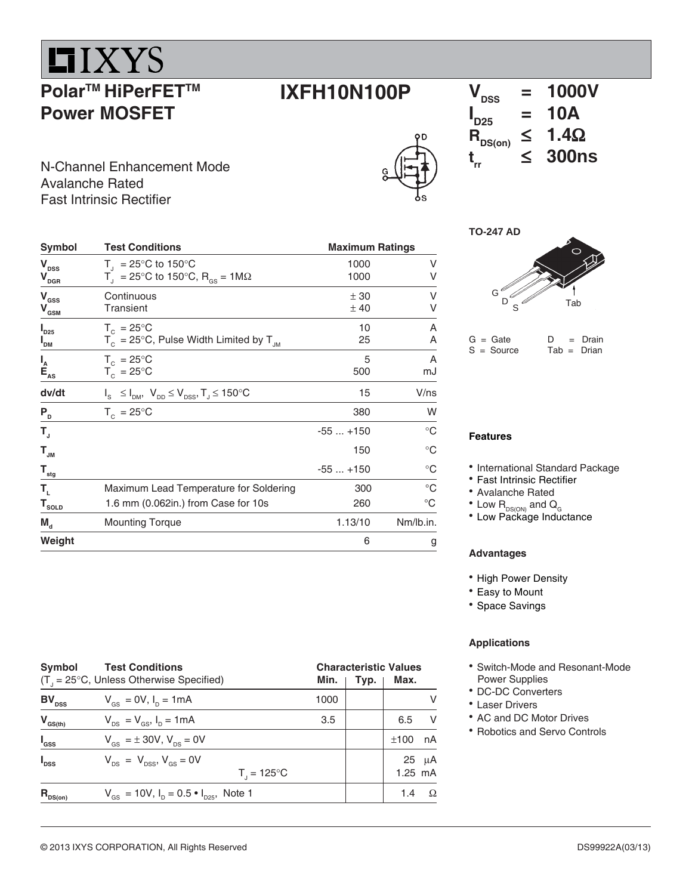## **LIXYS**

### **Polar™ HiPerFET™ Power MOSFET**

### **IXFH10N100P**

## $\overline{V_{\text{DSS}}}$  = 1000V<br> $\overline{V_{\text{DSS}}}$  = 10A  $I_{D25}$  = 10A  $R_{DS(on)} \leq 1.4\Omega$ <br>t < 300ns

N-Channel Enhancement Mode<br> **N**-Channel Enhancement Mode Avalanche Rated Fast Intrinsic Rectifier

| <b>Symbol</b>                                                      | <b>Test Conditions</b>                                                                | <b>Maximum Ratings</b> |                 |  |
|--------------------------------------------------------------------|---------------------------------------------------------------------------------------|------------------------|-----------------|--|
| V <sub>DSS</sub><br>$\bm{\mathsf{V}}_{\texttt{DGR}}$               | $T_{1}$ = 25°C to 150°C<br>$T_{\rm d}$ = 25°C to 150°C, R <sub>GS</sub> = 1M $\Omega$ | 1000<br>1000           | ٧<br>٧          |  |
| V <sub>ass</sub><br>$\bm{{\mathsf{V}}}_\mathsf{GSM}$               | Continuous<br><b>Transient</b>                                                        | ± 30<br>±40            | ٧<br>٧          |  |
| $\boldsymbol{\mathsf{I}}_{\texttt{D25}}$<br>$I_{DM}$               | $T_c = 25^{\circ}$ C<br>$T_c = 25^{\circ}$ C, Pulse Width Limited by $T_{JM}$         | 10<br>25               | Α<br>Α          |  |
| $I_{\sub{A}\atop \substack{\mathbf{E}\atop \mathbf{A}\mathbf{S}}}$ | $T_c = 25^{\circ}C$<br>$T_c = 25^{\circ}C$                                            | 5<br>500               | A<br>mJ         |  |
| dv/dt                                                              | $I_{S} \leq I_{DM}$ , $V_{DD} \leq V_{DSS}$ , $T_{J} \leq 150^{\circ}C$               | 15                     | V/ns            |  |
| $P_{D}$                                                            | $T_c = 25^{\circ}C$                                                                   | 380                    | W               |  |
| T,                                                                 |                                                                                       | $-55+150$              | $^{\circ}C$     |  |
| $T_{_{\rm JM}}$                                                    |                                                                                       | 150                    | $\rm ^{\circ}C$ |  |
| $\mathsf{T}_{_{\sf stg}}$                                          |                                                                                       | $-55+150$              | $^{\circ}C$     |  |
| Т,                                                                 | Maximum Lead Temperature for Soldering                                                | 300                    | $^{\circ}C$     |  |
| $T_{\underline{{\sf SOLD}}}$                                       | 1.6 mm (0.062in.) from Case for 10s                                                   | 260                    | $^{\circ}C$     |  |
| $\mathbf{M}_{\mathbf{d}}$                                          | <b>Mounting Torque</b>                                                                | 1.13/10                | Nm/lb.in.       |  |
| Weight                                                             |                                                                                       | 6                      | g               |  |

#### **TO-247 AD**



 $G =$  Gate  $D =$  Drain<br>  $S =$  Source Tab = Drian  $S = Source$ 

#### **Features**

- International Standard Package
- Fast Intrinsic Rectifier
- Avalanche Rated
- $^{\bullet}$  Low  $\textsf{R}_{\textsf{\tiny{DS}(\tiny{ON}\textsf{)}}}$  and  $\textsf{Q}_{_{\textsf{G}}}$
- Low Package Inductance

#### **Advantages**

- High Power Density
- Easy to Mount
- Space Savings

#### **Applications**

- Switch-Mode and Resonant-Mode Power Supplies
- DC-DC Converters
- Laser Drivers
- AC and DC Motor Drives
- Robotics and Servo Controls

| Symbol<br><b>Test Conditions</b><br>$(T_{1} = 25^{\circ}C,$ Unless Otherwise Specified) |                                                                            |      | <b>Characteristic Values</b><br>Max.<br>Min.<br>Typ. |                         |  |  |
|-----------------------------------------------------------------------------------------|----------------------------------------------------------------------------|------|------------------------------------------------------|-------------------------|--|--|
| $BV_{DSS}$                                                                              | $V_{\text{gs}} = 0V, I_{\text{p}} = 1 \text{ mA}$                          | 1000 |                                                      | V                       |  |  |
| $V_{GS(th)}$                                                                            | $V_{DS} = V_{GS}$ , $I_D = 1 \text{ mA}$                                   | 3.5  |                                                      | -V<br>6.5               |  |  |
| $I_{\rm dss}$                                                                           | $V_{\text{GS}} = \pm 30V, V_{\text{BS}} = 0V$                              |      |                                                      | nA<br>±100              |  |  |
| $I_{\text{DSS}}$                                                                        | $V_{DS}$ = $V_{DSS}$ , $V_{GS}$ = 0V<br>$T_{1} = 125^{\circ}C$             |      |                                                      | $25 \mu A$<br>$1.25$ mA |  |  |
| $R_{nS(0n)}$                                                                            | $V_{\text{GS}} = 10V$ , $I_{\text{D}} = 0.5 \cdot I_{\text{D25}}$ , Note 1 |      |                                                      | $\Omega$<br>1.4         |  |  |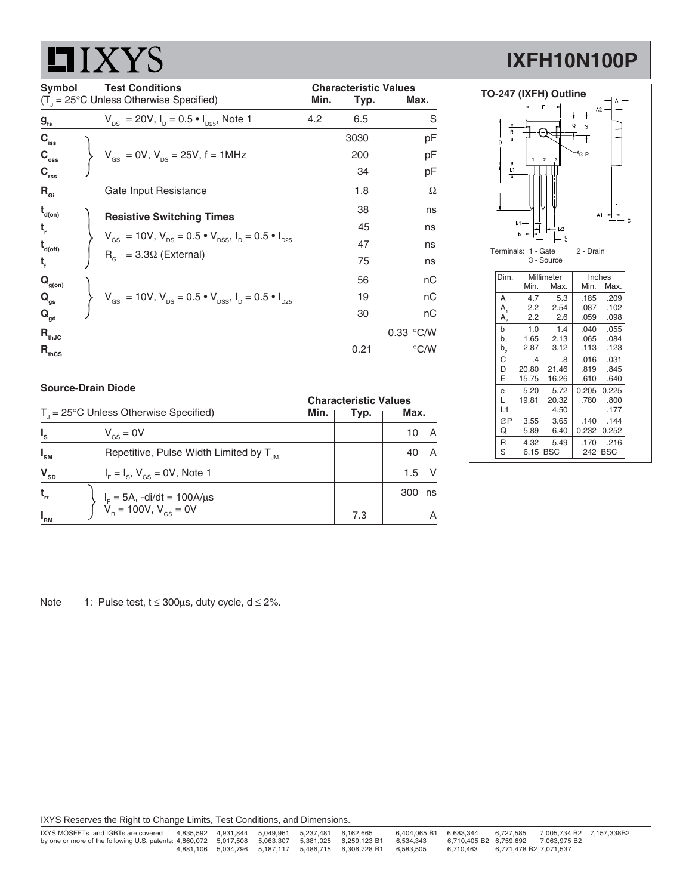# **LIXYS**

## **IXFH10N100P**

| Symbol                      | <b>Test Conditions</b><br>$(T1 = 25^{\circ}C$ Unless Otherwise Specified)<br>Min.                              |      | <b>Characteristic Values</b><br>Max.<br>Typ. |  |  |
|-----------------------------|----------------------------------------------------------------------------------------------------------------|------|----------------------------------------------|--|--|
| $g_{\rm fs}$                | $V_{DS}$ = 20V, $I_D$ = 0.5 $\bullet$ $I_{D25}$ , Note 1<br>4.2                                                | 6.5  | S                                            |  |  |
| $C_{\text{iss}}$            |                                                                                                                | 3030 | рF                                           |  |  |
| $C_{\rm oss}$               | $V_{GS}$ = 0V, $V_{DS}$ = 25V, f = 1MHz                                                                        | 200  | рF                                           |  |  |
| $C_{\rm rss}$               |                                                                                                                | 34   | рF                                           |  |  |
| $R_{\text{Gi}}$             | Gate Input Resistance                                                                                          | 1.8  | Ω                                            |  |  |
| $t_{\text{\tiny d(0n)}}$    | <b>Resistive Switching Times</b>                                                                               | 38   | ns                                           |  |  |
| t,                          |                                                                                                                | 45   | ns                                           |  |  |
| $t_{\text{\tiny d(off)}}$   | $V_{\text{gs}} = 10V$ , $V_{\text{ps}} = 0.5 \cdot V_{\text{pss}}$ , $I_{\text{p}} = 0.5 \cdot I_{\text{pss}}$ | 47   | ns                                           |  |  |
| $t_{f}$                     | $R_c = 3.3\Omega$ (External)                                                                                   | 75   | ns                                           |  |  |
| $\mathbf{Q}_{\text{g(on)}}$ |                                                                                                                | 56   | nC                                           |  |  |
| $Q_{qs}$                    | $V_{\text{gs}} = 10V$ , $V_{\text{ps}} = 0.5 \cdot V_{\text{pss}}$ , $I_{\text{p}} = 0.5 \cdot I_{\text{pss}}$ | 19   | nС                                           |  |  |
| $\mathbf{Q}_{\mathsf{gd}}$  |                                                                                                                | 30   | nС                                           |  |  |
| $R_{thJC}$                  |                                                                                                                |      | 0.33 °C/W                                    |  |  |
| $R_{thCS}$                  |                                                                                                                | 0.21 | $\degree$ C/W                                |  |  |



| Dim.    | Millimeter |          | Inches |         |
|---------|------------|----------|--------|---------|
|         | Min.       | Max.     | Min.   | Max.    |
| A       | 4.7        | 5.3      | .185   | .209    |
| A,      | 2.2        | 2.54     | .087   | .102    |
| $A_{2}$ | 2.2        | 2.6      | .059   | .098    |
| b       | 1.0        | 1.4      | .040   | .055    |
| b,      | 1.65       | 2.13     | .065   | .084    |
| $b_2$   | 2.87       | 3.12     | .113   | .123    |
| С       | .4         | .8       | .016   | .031    |
| D       | 20.80      | 21.46    | .819   | .845    |
| E       | 15.75      | 16.26    | .610   | .640    |
| e       | 5.20       | 5.72     | 0.205  | 0.225   |
| L       | 19.81      | 20.32    | .780   | .800    |
| L1      |            | 4.50     |        | .177    |
| ∅P      | 3.55       | 3.65     | .140   | . 144   |
| Q       | 5.89       | 6.40     | 0.232  | 0.252   |
| R       | 4.32       | 5.49     | .170   | .216    |
| S       |            | 6.15 BSC |        | 242 BSC |

#### **Source-Drain Diode**

| $T_{\text{I}}$ = 25°C Unless Otherwise Specified) |                                                                                        | <b>Characteristic Values</b> |      |               |
|---------------------------------------------------|----------------------------------------------------------------------------------------|------------------------------|------|---------------|
|                                                   |                                                                                        | Min.                         | Typ. | Max.          |
| $I_{s}$                                           | $V_{\text{gs}} = 0V$                                                                   |                              |      | A<br>10       |
| $I_{\rm SM}$                                      | Repetitive, Pulse Width Limited by T <sub>JM</sub>                                     |                              |      | - A<br>40     |
| $\mathbf{V}_{\text{SD}}$                          | $IF = Is$ , $Vgs = 0V$ , Note 1                                                        |                              |      | $\vee$<br>1.5 |
| $t_{rr}$                                          | $\begin{cases}\nI_F = 5A, -di/dt = 100A/\mu s \\ V_B = 100V, V_{gs} = 0V\n\end{cases}$ |                              |      | 300<br>ns     |
| $I_{\rm RM}$                                      |                                                                                        |                              | 7.3  | Α             |

Note 1: Pulse test,  $t \le 300 \mu s$ , duty cycle,  $d \le 2\%$ .

IXYS Reserves the Right to Change Limits, Test Conditions, and Dimensions.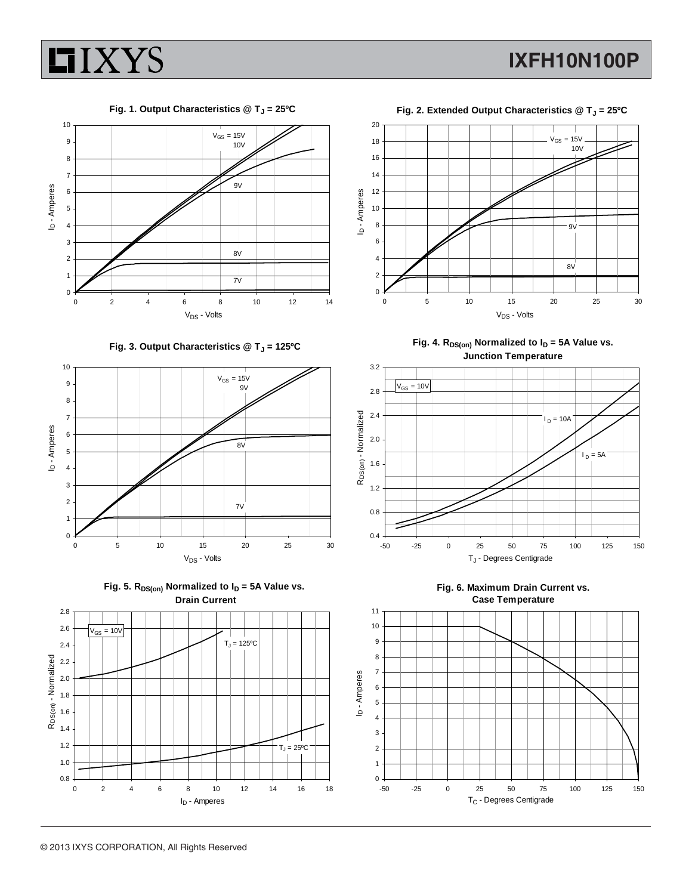

 **IXFH10N100P**

Fig. 1. Output Characteristics @ T<sub>J</sub> = 25°C



Fig. 3. Output Characteristics @ T<sub>J</sub> = 125°C







**Fig. 2. Extended Output Characteristics @ TJ = 25ºC**



Fig. 4.  $R_{DS(on)}$  Normalized to  $I_D = 5A$  Value vs. **Junction Temperature**





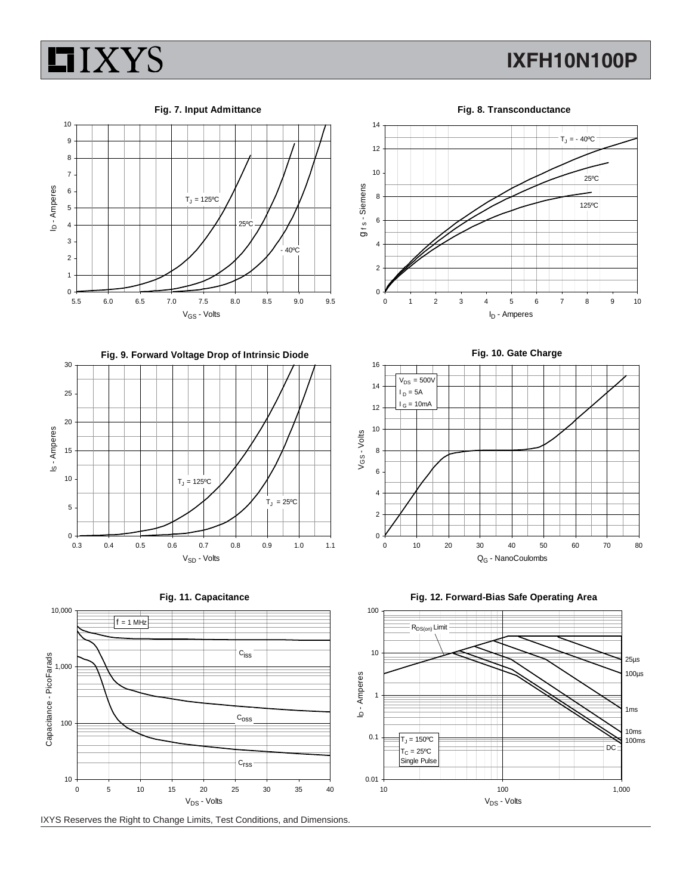

## **IXFH10N100P**





**Fig. 9. Forward Voltage Drop of Intrinsic Diode**







IXYS Reserves the Right to Change Limits, Test Conditions, and Dimensions.



**Fig. 10. Gate Charge**





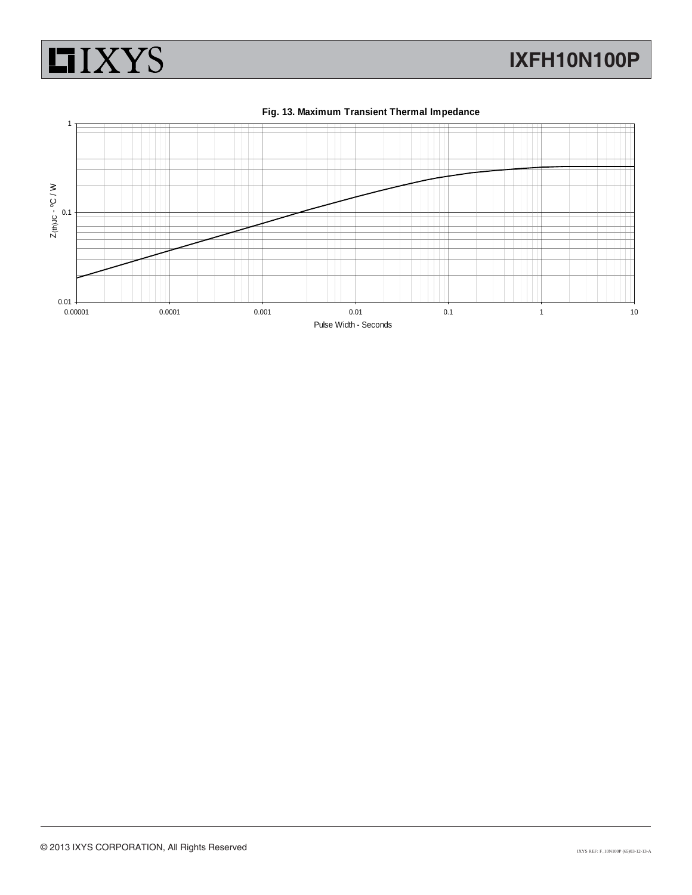





#### **Fig. 13. Maximum Transient Thermal Impedance**